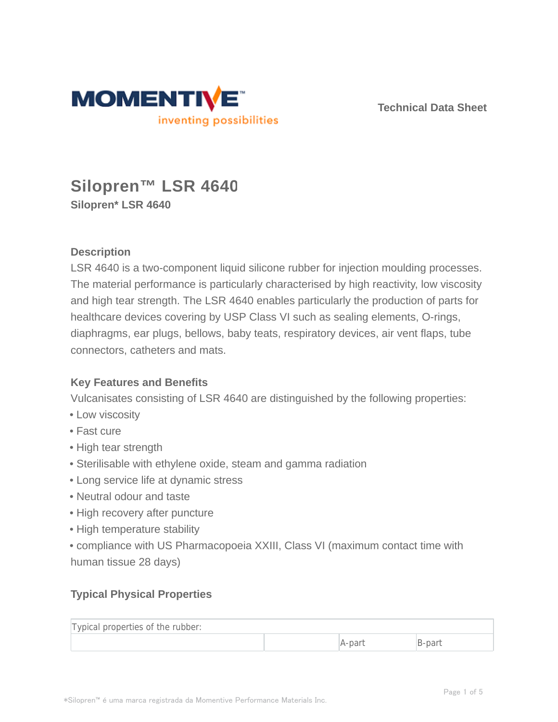

**Technical Data Sheet**

# **Silopren™ LSR 4640 Silopren\* LSR 4640**

# **Description**

LSR 4640 is a two-component liquid silicone rubber for injection moulding processes. The material performance is particularly characterised by high reactivity, low viscosity and high tear strength. The LSR 4640 enables particularly the production of parts for healthcare devices covering by USP Class VI such as sealing elements, O-rings, diaphragms, ear plugs, bellows, baby teats, respiratory devices, air vent flaps, tube connectors, catheters and mats.

# **Key Features and Benefits**

Vulcanisates consisting of LSR 4640 are distinguished by the following properties:

- Low viscosity
- Fast cure
- High tear strength
- Sterilisable with ethylene oxide, steam and gamma radiation
- Long service life at dynamic stress
- Neutral odour and taste
- High recovery after puncture
- High temperature stability
- compliance with US Pharmacopoeia XXIII, Class VI (maximum contact time with human tissue 28 days)

# **Typical Physical Properties**

| Typical properties of the rubber: |        |       |
|-----------------------------------|--------|-------|
|                                   | A-parl | 3-par |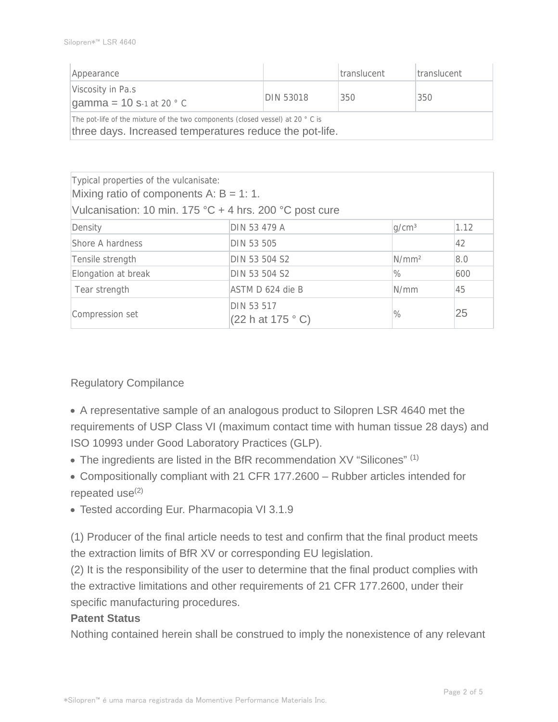| Appearance                                                                                                                               |                  | translucent | translucent |
|------------------------------------------------------------------------------------------------------------------------------------------|------------------|-------------|-------------|
| Viscosity in Pa.s<br><b>gamma = 10 s</b> -1 at 20 $^{\circ}$ C                                                                           | <b>DIN 53018</b> | 350         | 350         |
| The pot-life of the mixture of the two components (closed vessel) at 20 °C is<br>three days. Increased temperatures reduce the pot-life. |                  |             |             |

| Typical properties of the vulcanisate:<br>Mixing ratio of components A: $B = 1: 1$ . |                                |                   |      |
|--------------------------------------------------------------------------------------|--------------------------------|-------------------|------|
| Vulcanisation: 10 min. 175 °C + 4 hrs. 200 °C post cure                              |                                |                   |      |
| Density                                                                              | DIN 53 479 A                   | q/cm <sup>3</sup> | 1.12 |
| Shore A hardness                                                                     | DIN 53 505                     |                   | 42   |
| Tensile strength                                                                     | DIN 53 504 S2                  | N/mm <sup>2</sup> | 8.0  |
| Elongation at break                                                                  | DIN 53 504 S2                  | $\%$              | 600  |
| Tear strength                                                                        | ASTM D 624 die B               | N/mm              | 45   |
| Compression set                                                                      | DIN 53 517<br>(22 h at 175 °C) | $\%$              | 25   |

## Regulatory Compilance

A representative sample of an analogous product to Silopren LSR 4640 met the requirements of USP Class VI (maximum contact time with human tissue 28 days) and ISO 10993 under Good Laboratory Practices (GLP).

- The ingredients are listed in the BfR recommendation XV "Silicones" (1)
- Compositionally compliant with 21 CFR 177.2600 Rubber articles intended for repeated use $(2)$
- Tested according Eur. Pharmacopia VI 3.1.9

(1) Producer of the final article needs to test and confirm that the final product meets the extraction limits of BfR XV or corresponding EU legislation.

(2) It is the responsibility of the user to determine that the final product complies with the extractive limitations and other requirements of 21 CFR 177.2600, under their specific manufacturing procedures.

## **Patent Status**

Nothing contained herein shall be construed to imply the nonexistence of any relevant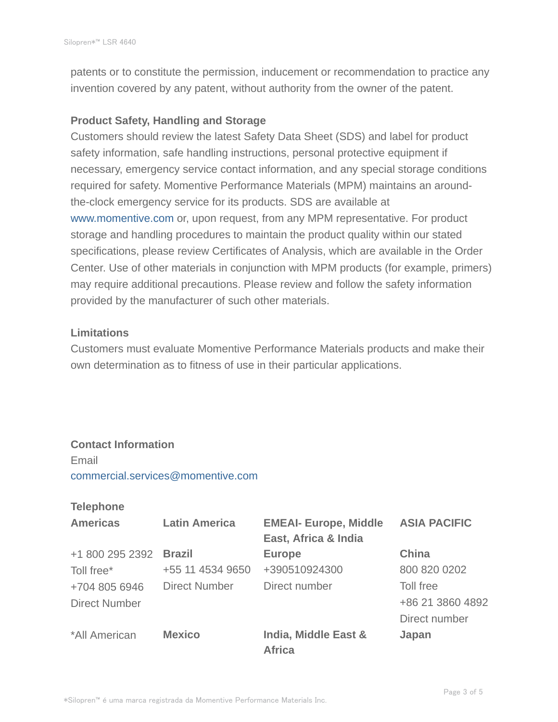patents or to constitute the permission, inducement or recommendation to practice any invention covered by any patent, without authority from the owner of the patent.

#### **Product Safety, Handling and Storage**

Customers should review the latest Safety Data Sheet (SDS) and label for product safety information, safe handling instructions, personal protective equipment if necessary, emergency service contact information, and any special storage conditions required for safety. Momentive Performance Materials (MPM) maintains an aroundthe-clock emergency service for its products. SDS are available at www.momentive.com or, upon request, from any MPM representative. For product storage and handling procedures to maintain the product quality within our stated specifications, please review Certificates of Analysis, which are available in the Order Center. Use of other materials in conjunction with MPM products (for example, primers) may require additional precautions. Please review and follow the safety information provided by the manufacturer of such other materials.

#### **Limitations**

Customers must evaluate Momentive Performance Materials products and make their own determination as to fitness of use in their particular applications.

# **Contact Information**

Email commercial.services@momentive.com

#### **Telephone**

| <b>Americas</b>      | <b>Latin America</b> | <b>EMEAI- Europe, Middle</b>          | <b>ASIA PACIFIC</b> |
|----------------------|----------------------|---------------------------------------|---------------------|
|                      |                      | East, Africa & India                  |                     |
| +1 800 295 2392      | <b>Brazil</b>        | <b>Europe</b>                         | China               |
| Toll free*           | +55 11 4534 9650     | +390510924300                         | 800 820 0202        |
| +704 805 6946        | <b>Direct Number</b> | Direct number                         | Toll free           |
| <b>Direct Number</b> |                      |                                       | +86 21 3860 4892    |
|                      |                      |                                       | Direct number       |
| *All American        | <b>Mexico</b>        | India, Middle East &<br><b>Africa</b> | Japan               |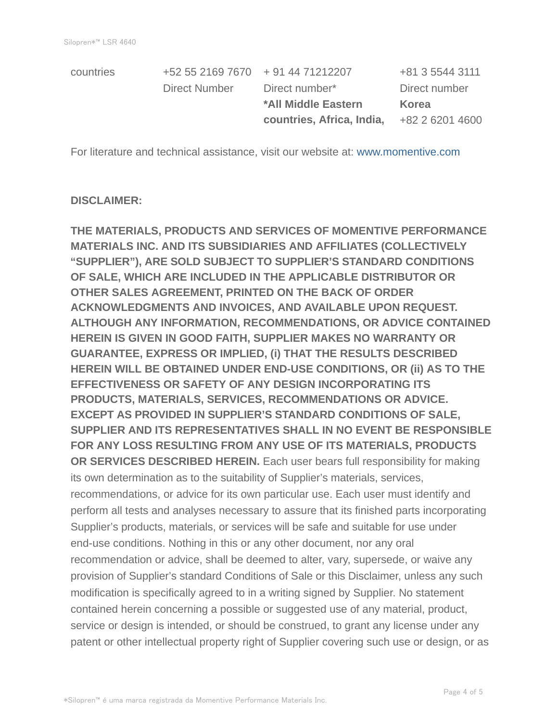|           |                                   | countries, Africa, India, | +82 2 6201 4600 |
|-----------|-----------------------------------|---------------------------|-----------------|
|           |                                   | *All Middle Eastern       | Korea           |
|           | Direct Number                     | Direct number*            | Direct number   |
| countries | +52 55 2169 7670 + 91 44 71212207 |                           | +81 3 5544 3111 |

For literature and technical assistance, visit our website at: www.momentive.com

#### **DISCLAIMER:**

**THE MATERIALS, PRODUCTS AND SERVICES OF MOMENTIVE PERFORMANCE MATERIALS INC. AND ITS SUBSIDIARIES AND AFFILIATES (COLLECTIVELY "SUPPLIER"), ARE SOLD SUBJECT TO SUPPLIER'S STANDARD CONDITIONS OF SALE, WHICH ARE INCLUDED IN THE APPLICABLE DISTRIBUTOR OR OTHER SALES AGREEMENT, PRINTED ON THE BACK OF ORDER ACKNOWLEDGMENTS AND INVOICES, AND AVAILABLE UPON REQUEST. ALTHOUGH ANY INFORMATION, RECOMMENDATIONS, OR ADVICE CONTAINED HEREIN IS GIVEN IN GOOD FAITH, SUPPLIER MAKES NO WARRANTY OR GUARANTEE, EXPRESS OR IMPLIED, (i) THAT THE RESULTS DESCRIBED HEREIN WILL BE OBTAINED UNDER END-USE CONDITIONS, OR (ii) AS TO THE EFFECTIVENESS OR SAFETY OF ANY DESIGN INCORPORATING ITS PRODUCTS, MATERIALS, SERVICES, RECOMMENDATIONS OR ADVICE. EXCEPT AS PROVIDED IN SUPPLIER'S STANDARD CONDITIONS OF SALE, SUPPLIER AND ITS REPRESENTATIVES SHALL IN NO EVENT BE RESPONSIBLE FOR ANY LOSS RESULTING FROM ANY USE OF ITS MATERIALS, PRODUCTS OR SERVICES DESCRIBED HEREIN.** Each user bears full responsibility for making its own determination as to the suitability of Supplier's materials, services, recommendations, or advice for its own particular use. Each user must identify and perform all tests and analyses necessary to assure that its finished parts incorporating Supplier's products, materials, or services will be safe and suitable for use under end-use conditions. Nothing in this or any other document, nor any oral recommendation or advice, shall be deemed to alter, vary, supersede, or waive any provision of Supplier's standard Conditions of Sale or this Disclaimer, unless any such modification is specifically agreed to in a writing signed by Supplier. No statement contained herein concerning a possible or suggested use of any material, product, service or design is intended, or should be construed, to grant any license under any patent or other intellectual property right of Supplier covering such use or design, or as